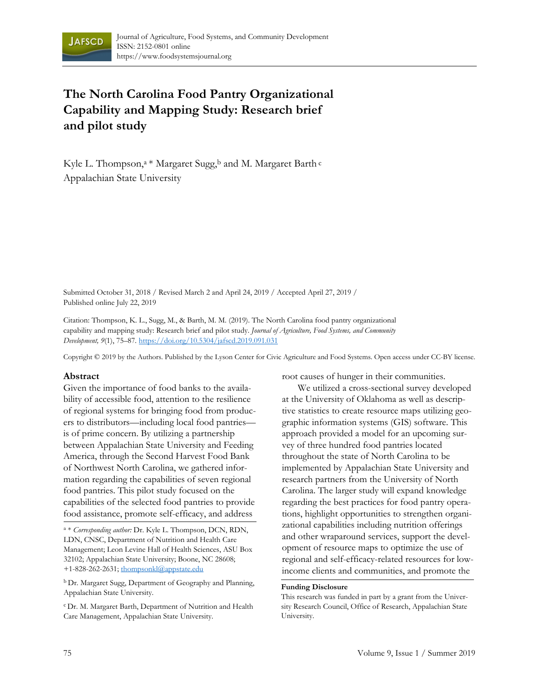

# **The North Carolina Food Pantry Organizational Capability and Mapping Study: Research brief and pilot study**

Kyle L. Thompson,<sup>a \*</sup> Margaret Sugg,<sup>b</sup> and M. Margaret Barth  $\circ$ Appalachian State University

Submitted October 31, 2018 / Revised March 2 and April 24, 2019 / Accepted April 27, 2019 / Published online July 22, 2019

Citation: Thompson, K. L., Sugg, M., & Barth, M. M. (2019). The North Carolina food pantry organizational capability and mapping study: Research brief and pilot study. *Journal of Agriculture, Food Systems, and Community Development, 9*(1), 75–87*.* https://doi.org/10.5304/jafscd.2019.091.031

Copyright © 2019 by the Authors. Published by the Lyson Center for Civic Agriculture and Food Systems. Open access under CC-BY license.

#### **Abstract**

Given the importance of food banks to the availability of accessible food, attention to the resilience of regional systems for bringing food from producers to distributors—including local food pantries is of prime concern. By utilizing a partnership between Appalachian State University and Feeding America, through the Second Harvest Food Bank of Northwest North Carolina, we gathered information regarding the capabilities of seven regional food pantries. This pilot study focused on the capabilities of the selected food pantries to provide food assistance, promote self-efficacy, and address

b Dr. Margaret Sugg, Department of Geography and Planning, Appalachian State University.

c Dr. M. Margaret Barth, Department of Nutrition and Health Care Management, Appalachian State University.

root causes of hunger in their communities.

 We utilized a cross-sectional survey developed at the University of Oklahoma as well as descriptive statistics to create resource maps utilizing geographic information systems (GIS) software. This approach provided a model for an upcoming survey of three hundred food pantries located throughout the state of North Carolina to be implemented by Appalachian State University and research partners from the University of North Carolina. The larger study will expand knowledge regarding the best practices for food pantry operations, highlight opportunities to strengthen organizational capabilities including nutrition offerings and other wraparound services, support the development of resource maps to optimize the use of regional and self-efficacy-related resources for lowincome clients and communities, and promote the

#### **Funding Disclosure**

This research was funded in part by a grant from the University Research Council, Office of Research, Appalachian State University.

a \* *Corresponding author:* Dr. Kyle L. Thompson, DCN, RDN, LDN, CNSC, Department of Nutrition and Health Care Management; Leon Levine Hall of Health Sciences, ASU Box 32102; Appalachian State University; Boone, NC 28608; +1-828-262-2631; thompsonkl@appstate.edu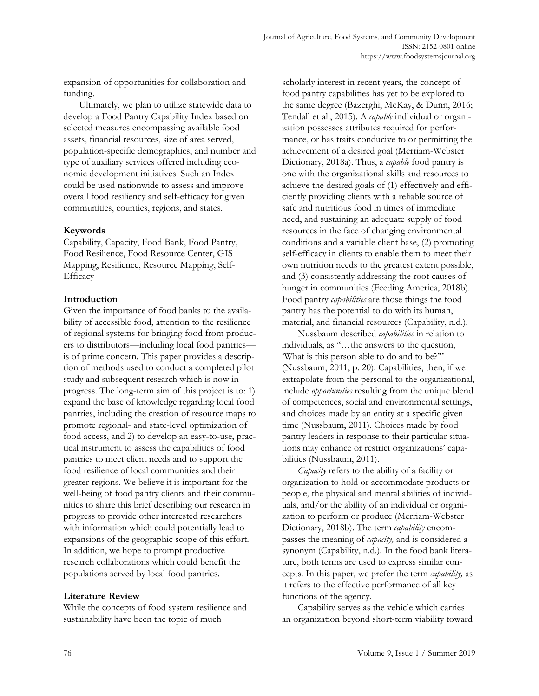expansion of opportunities for collaboration and funding.

 Ultimately, we plan to utilize statewide data to develop a Food Pantry Capability Index based on selected measures encompassing available food assets, financial resources, size of area served, population-specific demographics, and number and type of auxiliary services offered including economic development initiatives. Such an Index could be used nationwide to assess and improve overall food resiliency and self-efficacy for given communities, counties, regions, and states.

## **Keywords**

Capability, Capacity, Food Bank, Food Pantry, Food Resilience, Food Resource Center, GIS Mapping, Resilience, Resource Mapping, Self-Efficacy

## **Introduction**

Given the importance of food banks to the availability of accessible food, attention to the resilience of regional systems for bringing food from producers to distributors—including local food pantries is of prime concern. This paper provides a description of methods used to conduct a completed pilot study and subsequent research which is now in progress. The long-term aim of this project is to: 1) expand the base of knowledge regarding local food pantries, including the creation of resource maps to promote regional- and state-level optimization of food access, and 2) to develop an easy-to-use, practical instrument to assess the capabilities of food pantries to meet client needs and to support the food resilience of local communities and their greater regions. We believe it is important for the well-being of food pantry clients and their communities to share this brief describing our research in progress to provide other interested researchers with information which could potentially lead to expansions of the geographic scope of this effort. In addition, we hope to prompt productive research collaborations which could benefit the populations served by local food pantries.

# **Literature Review**

While the concepts of food system resilience and sustainability have been the topic of much

scholarly interest in recent years, the concept of food pantry capabilities has yet to be explored to the same degree (Bazerghi, McKay, & Dunn, 2016; Tendall et al., 2015). A *capable* individual or organization possesses attributes required for performance, or has traits conducive to or permitting the achievement of a desired goal (Merriam-Webster Dictionary, 2018a). Thus, a *capable* food pantry is one with the organizational skills and resources to achieve the desired goals of (1) effectively and efficiently providing clients with a reliable source of safe and nutritious food in times of immediate need, and sustaining an adequate supply of food resources in the face of changing environmental conditions and a variable client base, (2) promoting self-efficacy in clients to enable them to meet their own nutrition needs to the greatest extent possible, and (3) consistently addressing the root causes of hunger in communities (Feeding America, 2018b). Food pantry *capabilities* are those things the food pantry has the potential to do with its human, material, and financial resources (Capability, n.d.).

 Nussbaum described *capabilities* in relation to individuals, as "…the answers to the question, 'What is this person able to do and to be?'" (Nussbaum, 2011, p. 20). Capabilities, then, if we extrapolate from the personal to the organizational, include *opportunities* resulting from the unique blend of competences, social and environmental settings, and choices made by an entity at a specific given time (Nussbaum, 2011). Choices made by food pantry leaders in response to their particular situations may enhance or restrict organizations' capabilities (Nussbaum, 2011).

 *Capacity* refers to the ability of a facility or organization to hold or accommodate products or people, the physical and mental abilities of individuals, and/or the ability of an individual or organization to perform or produce (Merriam-Webster Dictionary, 2018b). The term *capability* encompasses the meaning of *capacity,* and is considered a synonym (Capability, n.d.). In the food bank literature, both terms are used to express similar concepts. In this paper, we prefer the term *capability,* as it refers to the effective performance of all key functions of the agency.

 Capability serves as the vehicle which carries an organization beyond short-term viability toward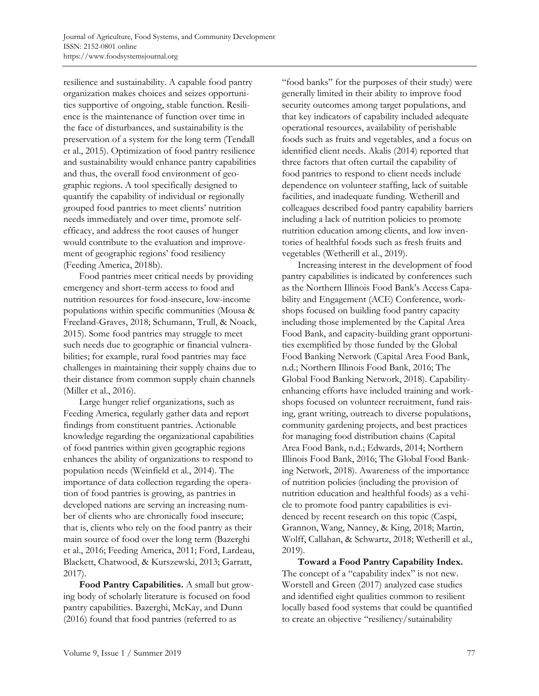resilience and sustainability. A capable food pantry organization makes choices and seizes opportunities supportive of ongoing, stable function. Resilience is the maintenance of function over time in the face of disturbances, and sustainability is the preservation of a system for the long term (Tendall et al., 2015). Optimization of food pantry resilience and sustainability would enhance pantry capabilities and thus, the overall food environment of geographic regions. A tool specifically designed to quantify the capability of individual or regionally grouped food pantries to meet clients' nutrition needs immediately and over time, promote selfefficacy, and address the root causes of hunger would contribute to the evaluation and improvement of geographic regions' food resiliency (Feeding America, 2018b).

 Food pantries meet critical needs by providing emergency and short-term access to food and nutrition resources for food-insecure, low-income populations within specific communities (Mousa & Freeland-Graves, 2018; Schumann, Trull, & Noack, 2015). Some food pantries may struggle to meet such needs due to geographic or financial vulnerabilities; for example, rural food pantries may face challenges in maintaining their supply chains due to their distance from common supply chain channels (Miller et al., 2016).

 Large hunger relief organizations, such as Feeding America, regularly gather data and report findings from constituent pantries. Actionable knowledge regarding the organizational capabilities of food pantries within given geographic regions enhances the ability of organizations to respond to population needs (Weinfield et al., 2014). The importance of data collection regarding the operation of food pantries is growing, as pantries in developed nations are serving an increasing number of clients who are chronically food insecure; that is, clients who rely on the food pantry as their main source of food over the long term (Bazerghi et al., 2016; Feeding America, 2011; Ford, Lardeau, Blackett, Chatwood, & Kurszewski, 2013; Garratt, 2017).

**Food Pantry Capabilities.** A small but growing body of scholarly literature is focused on food pantry capabilities. Bazerghi, McKay, and Dunn (2016) found that food pantries (referred to as

"food banks" for the purposes of their study) were generally limited in their ability to improve food security outcomes among target populations, and that key indicators of capability included adequate operational resources, availability of perishable foods such as fruits and vegetables, and a focus on identified client needs. Akalis (2014) reported that three factors that often curtail the capability of food pantries to respond to client needs include dependence on volunteer staffing, lack of suitable facilities, and inadequate funding. Wetherill and colleagues described food pantry capability barriers including a lack of nutrition policies to promote nutrition education among clients, and low inventories of healthful foods such as fresh fruits and vegetables (Wetherill et al., 2019).

 Increasing interest in the development of food pantry capabilities is indicated by conferences such as the Northern Illinois Food Bank's Access Capability and Engagement (ACE) Conference, workshops focused on building food pantry capacity including those implemented by the Capital Area Food Bank, and capacity-building grant opportunities exemplified by those funded by the Global Food Banking Network (Capital Area Food Bank, n.d.; Northern Illinois Food Bank, 2016; The Global Food Banking Network, 2018). Capabilityenhancing efforts have included training and workshops focused on volunteer recruitment, fund raising, grant writing, outreach to diverse populations, community gardening projects, and best practices for managing food distribution chains (Capital Area Food Bank, n.d.; Edwards, 2014; Northern Illinois Food Bank, 2016; The Global Food Banking Network, 2018). Awareness of the importance of nutrition policies (including the provision of nutrition education and healthful foods) as a vehicle to promote food pantry capabilities is evidenced by recent research on this topic (Caspi, Grannon, Wang, Nanney, & King, 2018; Martin, Wolff, Callahan, & Schwartz, 2018; Wetherill et al., 2019).

**Toward a Food Pantry Capability Index.** The concept of a "capability index" is not new. Worstell and Green (2017) analyzed case studies and identified eight qualities common to resilient locally based food systems that could be quantified to create an objective "resiliency/sutainability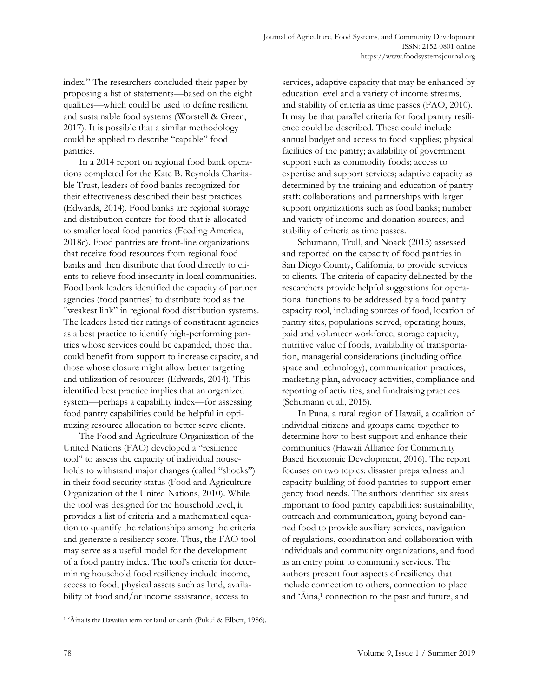index." The researchers concluded their paper by proposing a list of statements—based on the eight qualities—which could be used to define resilient and sustainable food systems (Worstell & Green, 2017). It is possible that a similar methodology could be applied to describe "capable" food pantries.

 In a 2014 report on regional food bank operations completed for the Kate B. Reynolds Charitable Trust, leaders of food banks recognized for their effectiveness described their best practices (Edwards, 2014). Food banks are regional storage and distribution centers for food that is allocated to smaller local food pantries (Feeding America, 2018c). Food pantries are front-line organizations that receive food resources from regional food banks and then distribute that food directly to clients to relieve food insecurity in local communities. Food bank leaders identified the capacity of partner agencies (food pantries) to distribute food as the "weakest link" in regional food distribution systems. The leaders listed tier ratings of constituent agencies as a best practice to identify high-performing pantries whose services could be expanded, those that could benefit from support to increase capacity, and those whose closure might allow better targeting and utilization of resources (Edwards, 2014). This identified best practice implies that an organized system—perhaps a capability index—for assessing food pantry capabilities could be helpful in optimizing resource allocation to better serve clients.

 The Food and Agriculture Organization of the United Nations (FAO) developed a "resilience tool" to assess the capacity of individual households to withstand major changes (called "shocks") in their food security status (Food and Agriculture Organization of the United Nations, 2010). While the tool was designed for the household level, it provides a list of criteria and a mathematical equation to quantify the relationships among the criteria and generate a resiliency score. Thus, the FAO tool may serve as a useful model for the development of a food pantry index. The tool's criteria for determining household food resiliency include income, access to food, physical assets such as land, availability of food and/or income assistance, access to

services, adaptive capacity that may be enhanced by education level and a variety of income streams, and stability of criteria as time passes (FAO, 2010). It may be that parallel criteria for food pantry resilience could be described. These could include annual budget and access to food supplies; physical facilities of the pantry; availability of government support such as commodity foods; access to expertise and support services; adaptive capacity as determined by the training and education of pantry staff; collaborations and partnerships with larger support organizations such as food banks; number and variety of income and donation sources; and stability of criteria as time passes.

 Schumann, Trull, and Noack (2015) assessed and reported on the capacity of food pantries in San Diego County, California, to provide services to clients. The criteria of capacity delineated by the researchers provide helpful suggestions for operational functions to be addressed by a food pantry capacity tool, including sources of food, location of pantry sites, populations served, operating hours, paid and volunteer workforce, storage capacity, nutritive value of foods, availability of transportation, managerial considerations (including office space and technology), communication practices, marketing plan, advocacy activities, compliance and reporting of activities, and fundraising practices (Schumann et al., 2015).

 In Puna, a rural region of Hawaii, a coalition of individual citizens and groups came together to determine how to best support and enhance their communities (Hawaii Alliance for Community Based Economic Development, 2016). The report focuses on two topics: disaster preparedness and capacity building of food pantries to support emergency food needs. The authors identified six areas important to food pantry capabilities: sustainability, outreach and communication, going beyond canned food to provide auxiliary services, navigation of regulations, coordination and collaboration with individuals and community organizations, and food as an entry point to community services. The authors present four aspects of resiliency that include connection to others, connection to place and 'Aina,<sup>1</sup> connection to the past and future, and

<sup>1 &#</sup>x27;Āina is the Hawaiian term for land or earth (Pukui & Elbert, 1986).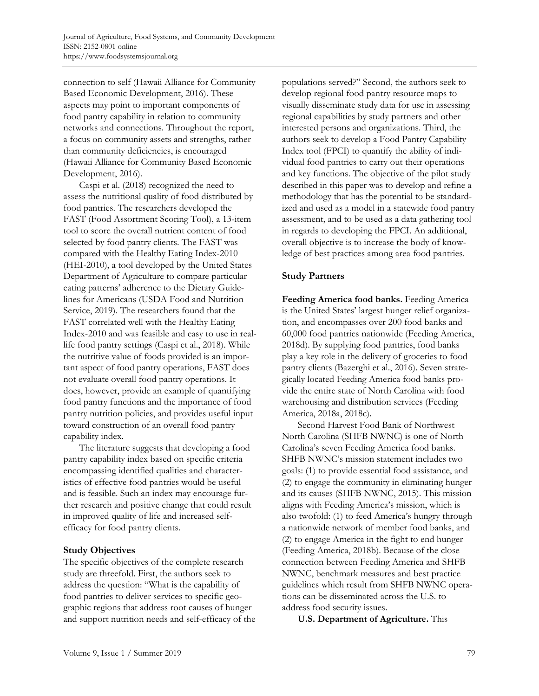connection to self (Hawaii Alliance for Community Based Economic Development, 2016). These aspects may point to important components of food pantry capability in relation to community networks and connections. Throughout the report, a focus on community assets and strengths, rather than community deficiencies, is encouraged (Hawaii Alliance for Community Based Economic Development, 2016).

 Caspi et al. (2018) recognized the need to assess the nutritional quality of food distributed by food pantries. The researchers developed the FAST (Food Assortment Scoring Tool), a 13-item tool to score the overall nutrient content of food selected by food pantry clients. The FAST was compared with the Healthy Eating Index-2010 (HEI-2010), a tool developed by the United States Department of Agriculture to compare particular eating patterns' adherence to the Dietary Guidelines for Americans (USDA Food and Nutrition Service, 2019). The researchers found that the FAST correlated well with the Healthy Eating Index-2010 and was feasible and easy to use in reallife food pantry settings (Caspi et al., 2018). While the nutritive value of foods provided is an important aspect of food pantry operations, FAST does not evaluate overall food pantry operations. It does, however, provide an example of quantifying food pantry functions and the importance of food pantry nutrition policies, and provides useful input toward construction of an overall food pantry capability index.

 The literature suggests that developing a food pantry capability index based on specific criteria encompassing identified qualities and characteristics of effective food pantries would be useful and is feasible. Such an index may encourage further research and positive change that could result in improved quality of life and increased selfefficacy for food pantry clients.

## **Study Objectives**

The specific objectives of the complete research study are threefold. First, the authors seek to address the question: "What is the capability of food pantries to deliver services to specific geographic regions that address root causes of hunger and support nutrition needs and self-efficacy of the populations served?" Second, the authors seek to develop regional food pantry resource maps to visually disseminate study data for use in assessing regional capabilities by study partners and other interested persons and organizations. Third, the authors seek to develop a Food Pantry Capability Index tool (FPCI) to quantify the ability of individual food pantries to carry out their operations and key functions. The objective of the pilot study described in this paper was to develop and refine a methodology that has the potential to be standardized and used as a model in a statewide food pantry assessment, and to be used as a data gathering tool in regards to developing the FPCI. An additional, overall objective is to increase the body of knowledge of best practices among area food pantries.

## **Study Partners**

**Feeding America food banks.** Feeding America is the United States' largest hunger relief organization, and encompasses over 200 food banks and 60,000 food pantries nationwide (Feeding America, 2018d). By supplying food pantries, food banks play a key role in the delivery of groceries to food pantry clients (Bazerghi et al., 2016). Seven strategically located Feeding America food banks provide the entire state of North Carolina with food warehousing and distribution services (Feeding America, 2018a, 2018c).

 Second Harvest Food Bank of Northwest North Carolina (SHFB NWNC) is one of North Carolina's seven Feeding America food banks. SHFB NWNC's mission statement includes two goals: (1) to provide essential food assistance, and (2) to engage the community in eliminating hunger and its causes (SHFB NWNC, 2015). This mission aligns with Feeding America's mission, which is also twofold: (1) to feed America's hungry through a nationwide network of member food banks, and (2) to engage America in the fight to end hunger (Feeding America, 2018b). Because of the close connection between Feeding America and SHFB NWNC, benchmark measures and best practice guidelines which result from SHFB NWNC operations can be disseminated across the U.S. to address food security issues.

 **U.S. Department of Agriculture.** This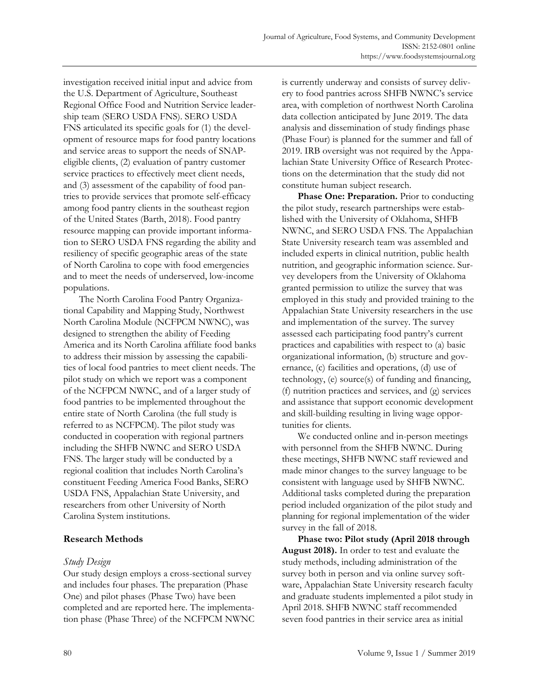investigation received initial input and advice from the U.S. Department of Agriculture, Southeast Regional Office Food and Nutrition Service leadership team (SERO USDA FNS). SERO USDA FNS articulated its specific goals for (1) the development of resource maps for food pantry locations and service areas to support the needs of SNAPeligible clients, (2) evaluation of pantry customer service practices to effectively meet client needs, and (3) assessment of the capability of food pantries to provide services that promote self-efficacy among food pantry clients in the southeast region of the United States (Barth, 2018). Food pantry resource mapping can provide important information to SERO USDA FNS regarding the ability and resiliency of specific geographic areas of the state of North Carolina to cope with food emergencies and to meet the needs of underserved, low-income populations.

 The North Carolina Food Pantry Organizational Capability and Mapping Study, Northwest North Carolina Module (NCFPCM NWNC), was designed to strengthen the ability of Feeding America and its North Carolina affiliate food banks to address their mission by assessing the capabilities of local food pantries to meet client needs. The pilot study on which we report was a component of the NCFPCM NWNC, and of a larger study of food pantries to be implemented throughout the entire state of North Carolina (the full study is referred to as NCFPCM). The pilot study was conducted in cooperation with regional partners including the SHFB NWNC and SERO USDA FNS. The larger study will be conducted by a regional coalition that includes North Carolina's constituent Feeding America Food Banks, SERO USDA FNS, Appalachian State University, and researchers from other University of North Carolina System institutions.

## **Research Methods**

## *Study Design*

Our study design employs a cross-sectional survey and includes four phases. The preparation (Phase One) and pilot phases (Phase Two) have been completed and are reported here. The implementation phase (Phase Three) of the NCFPCM NWNC is currently underway and consists of survey delivery to food pantries across SHFB NWNC's service area, with completion of northwest North Carolina data collection anticipated by June 2019. The data analysis and dissemination of study findings phase (Phase Four) is planned for the summer and fall of 2019. IRB oversight was not required by the Appalachian State University Office of Research Protections on the determination that the study did not constitute human subject research.

 **Phase One: Preparation.** Prior to conducting the pilot study, research partnerships were established with the University of Oklahoma, SHFB NWNC, and SERO USDA FNS. The Appalachian State University research team was assembled and included experts in clinical nutrition, public health nutrition, and geographic information science. Survey developers from the University of Oklahoma granted permission to utilize the survey that was employed in this study and provided training to the Appalachian State University researchers in the use and implementation of the survey. The survey assessed each participating food pantry's current practices and capabilities with respect to (a) basic organizational information, (b) structure and governance, (c) facilities and operations, (d) use of technology, (e) source(s) of funding and financing, (f) nutrition practices and services, and (g) services and assistance that support economic development and skill-building resulting in living wage opportunities for clients.

 We conducted online and in-person meetings with personnel from the SHFB NWNC. During these meetings, SHFB NWNC staff reviewed and made minor changes to the survey language to be consistent with language used by SHFB NWNC. Additional tasks completed during the preparation period included organization of the pilot study and planning for regional implementation of the wider survey in the fall of 2018.

 **Phase two: Pilot study (April 2018 through August 2018).** In order to test and evaluate the study methods, including administration of the survey both in person and via online survey software, Appalachian State University research faculty and graduate students implemented a pilot study in April 2018. SHFB NWNC staff recommended seven food pantries in their service area as initial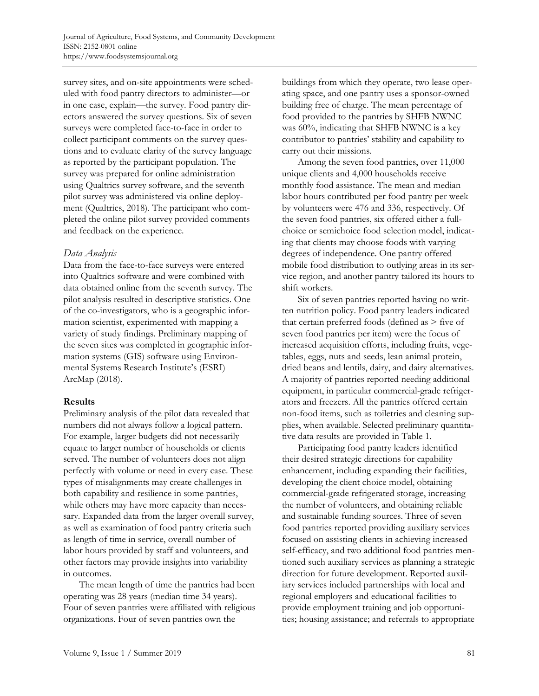survey sites, and on-site appointments were scheduled with food pantry directors to administer—or in one case, explain—the survey. Food pantry directors answered the survey questions. Six of seven surveys were completed face-to-face in order to collect participant comments on the survey questions and to evaluate clarity of the survey language as reported by the participant population. The survey was prepared for online administration using Qualtrics survey software, and the seventh pilot survey was administered via online deployment (Qualtrics, 2018). The participant who completed the online pilot survey provided comments and feedback on the experience.

#### *Data Analysis*

Data from the face-to-face surveys were entered into Qualtrics software and were combined with data obtained online from the seventh survey. The pilot analysis resulted in descriptive statistics. One of the co-investigators, who is a geographic information scientist, experimented with mapping a variety of study findings. Preliminary mapping of the seven sites was completed in geographic information systems (GIS) software using Environmental Systems Research Institute's (ESRI) ArcMap (2018).

## **Results**

Preliminary analysis of the pilot data revealed that numbers did not always follow a logical pattern. For example, larger budgets did not necessarily equate to larger number of households or clients served. The number of volunteers does not align perfectly with volume or need in every case. These types of misalignments may create challenges in both capability and resilience in some pantries, while others may have more capacity than necessary. Expanded data from the larger overall survey, as well as examination of food pantry criteria such as length of time in service, overall number of labor hours provided by staff and volunteers, and other factors may provide insights into variability in outcomes.

 The mean length of time the pantries had been operating was 28 years (median time 34 years). Four of seven pantries were affiliated with religious organizations. Four of seven pantries own the

buildings from which they operate, two lease operating space, and one pantry uses a sponsor-owned building free of charge. The mean percentage of food provided to the pantries by SHFB NWNC was 60%, indicating that SHFB NWNC is a key contributor to pantries' stability and capability to carry out their missions.

 Among the seven food pantries, over 11,000 unique clients and 4,000 households receive monthly food assistance. The mean and median labor hours contributed per food pantry per week by volunteers were 476 and 336, respectively. Of the seven food pantries, six offered either a fullchoice or semichoice food selection model, indicating that clients may choose foods with varying degrees of independence. One pantry offered mobile food distribution to outlying areas in its service region, and another pantry tailored its hours to shift workers.

 Six of seven pantries reported having no written nutrition policy. Food pantry leaders indicated that certain preferred foods (defined as  $\geq$  five of seven food pantries per item) were the focus of increased acquisition efforts, including fruits, vegetables, eggs, nuts and seeds, lean animal protein, dried beans and lentils, dairy, and dairy alternatives. A majority of pantries reported needing additional equipment, in particular commercial-grade refrigerators and freezers. All the pantries offered certain non-food items, such as toiletries and cleaning supplies, when available. Selected preliminary quantitative data results are provided in Table 1.

 Participating food pantry leaders identified their desired strategic directions for capability enhancement, including expanding their facilities, developing the client choice model, obtaining commercial-grade refrigerated storage, increasing the number of volunteers, and obtaining reliable and sustainable funding sources. Three of seven food pantries reported providing auxiliary services focused on assisting clients in achieving increased self-efficacy, and two additional food pantries mentioned such auxiliary services as planning a strategic direction for future development. Reported auxiliary services included partnerships with local and regional employers and educational facilities to provide employment training and job opportunities; housing assistance; and referrals to appropriate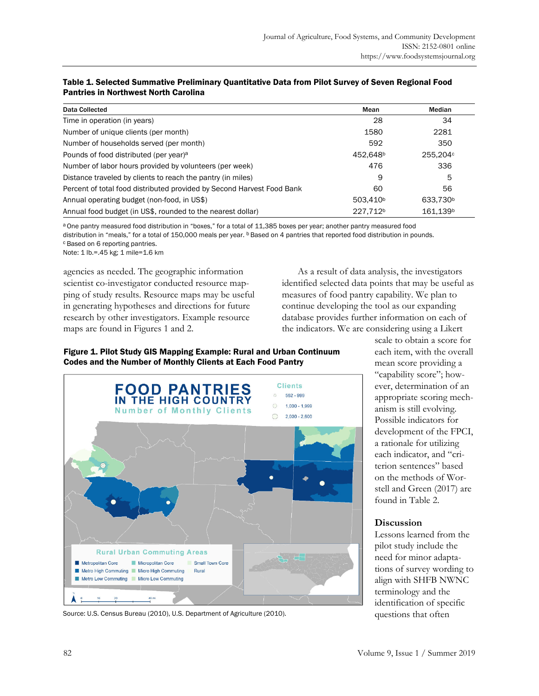| Data Collected                                                         | Mean                 | Median               |
|------------------------------------------------------------------------|----------------------|----------------------|
| Time in operation (in years)                                           | 28                   | 34                   |
| Number of unique clients (per month)                                   | 1580                 | 2281                 |
| Number of households served (per month)                                | 592                  | 350                  |
| Pounds of food distributed (per year) <sup>a</sup>                     | 452.648 <sup>b</sup> | 255,204c             |
| Number of labor hours provided by volunteers (per week)                | 476                  | 336                  |
| Distance traveled by clients to reach the pantry (in miles)            | 9                    | 5                    |
| Percent of total food distributed provided by Second Harvest Food Bank | 60                   | 56                   |
| Annual operating budget (non-food, in US\$)                            | 503.410 <sup>b</sup> | 633,730 <sup>b</sup> |
| Annual food budget (in US\$, rounded to the nearest dollar)            | 227.712 <sup>b</sup> | 161.139 <sup>b</sup> |

#### Table 1. Selected Summative Preliminary Quantitative Data from Pilot Survey of Seven Regional Food Pantries in Northwest North Carolina

a One pantry measured food distribution in "boxes," for a total of 11,385 boxes per year; another pantry measured food distribution in "meals," for a total of 150,000 meals per year. **b** Based on 4 pantries that reported food distribution in pounds. c Based on 6 reporting pantries.

Note: 1 lb.=.45 kg; 1 mile=1.6 km

agencies as needed. The geographic information scientist co-investigator conducted resource mapping of study results. Resource maps may be useful in generating hypotheses and directions for future research by other investigators. Example resource maps are found in Figures 1 and 2.

 As a result of data analysis, the investigators identified selected data points that may be useful as measures of food pantry capability. We plan to continue developing the tool as our expanding database provides further information on each of the indicators. We are considering using a Likert

# Figure 1. Pilot Study GIS Mapping Example: Rural and Urban Continuum Codes and the Number of Monthly Clients at Each Food Pantry



Source: U.S. Census Bureau (2010), U.S. Department of Agriculture (2010).

scale to obtain a score for each item, with the overall mean score providing a "capability score"; however, determination of an appropriate scoring mechanism is still evolving. Possible indicators for development of the FPCI, a rationale for utilizing each indicator, and "criterion sentences" based on the methods of Worstell and Green (2017) are found in Table 2.

## **Discussion**

Lessons learned from the pilot study include the need for minor adaptations of survey wording to align with SHFB NWNC terminology and the identification of specific questions that often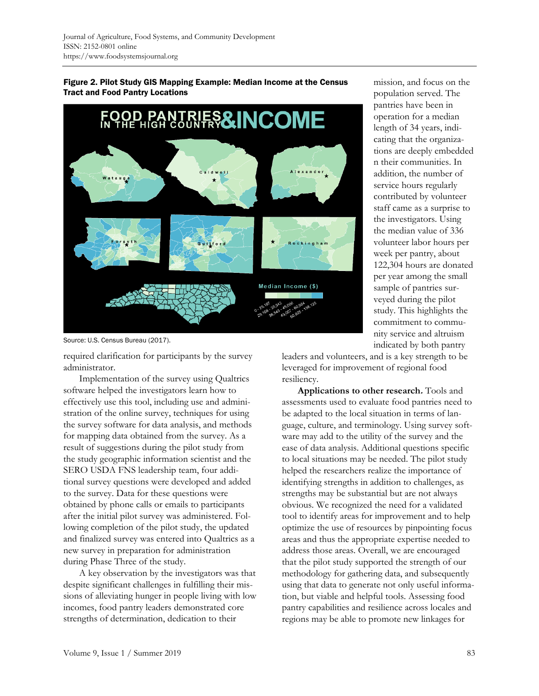

Figure 2. Pilot Study GIS Mapping Example: Median Income at the Census Tract and Food Pantry Locations

Source: U.S. Census Bureau (2017).

required clarification for participants by the survey administrator.

 Implementation of the survey using Qualtrics software helped the investigators learn how to effectively use this tool, including use and administration of the online survey, techniques for using the survey software for data analysis, and methods for mapping data obtained from the survey. As a result of suggestions during the pilot study from the study geographic information scientist and the SERO USDA FNS leadership team, four additional survey questions were developed and added to the survey. Data for these questions were obtained by phone calls or emails to participants after the initial pilot survey was administered. Following completion of the pilot study, the updated and finalized survey was entered into Qualtrics as a new survey in preparation for administration during Phase Three of the study.

 A key observation by the investigators was that despite significant challenges in fulfilling their missions of alleviating hunger in people living with low incomes, food pantry leaders demonstrated core strengths of determination, dedication to their

mission, and focus on the population served. The pantries have been in operation for a median length of 34 years, indicating that the organizations are deeply embedded n their communities. In addition, the number of service hours regularly contributed by volunteer staff came as a surprise to the investigators. Using the median value of 336 volunteer labor hours per week per pantry, about 122,304 hours are donated per year among the small sample of pantries surveyed during the pilot study. This highlights the commitment to community service and altruism indicated by both pantry

leaders and volunteers, and is a key strength to be leveraged for improvement of regional food resiliency.

 **Applications to other research.** Tools and assessments used to evaluate food pantries need to be adapted to the local situation in terms of language, culture, and terminology. Using survey software may add to the utility of the survey and the ease of data analysis. Additional questions specific to local situations may be needed. The pilot study helped the researchers realize the importance of identifying strengths in addition to challenges, as strengths may be substantial but are not always obvious. We recognized the need for a validated tool to identify areas for improvement and to help optimize the use of resources by pinpointing focus areas and thus the appropriate expertise needed to address those areas. Overall, we are encouraged that the pilot study supported the strength of our methodology for gathering data, and subsequently using that data to generate not only useful information, but viable and helpful tools. Assessing food pantry capabilities and resilience across locales and regions may be able to promote new linkages for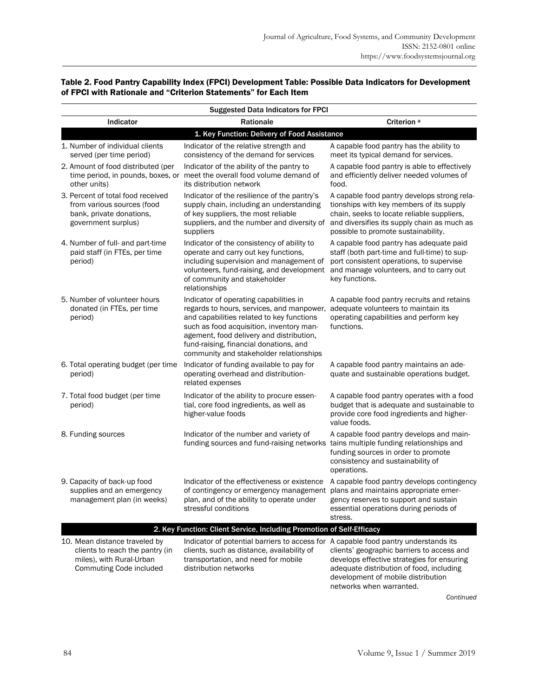| Table 2. Food Pantry Capability Index (FPCI) Development Table: Possible Data Indicators for Development |
|----------------------------------------------------------------------------------------------------------|
| of FPCI with Rationale and "Criterion Statements" for Each Item                                          |

| <b>Suggested Data Indicators for FPCI</b>                             |                                                                                                                         |                                                                                                                                                                                                                                                                                                               |                                                                                                                                                                                                                             |  |  |  |
|-----------------------------------------------------------------------|-------------------------------------------------------------------------------------------------------------------------|---------------------------------------------------------------------------------------------------------------------------------------------------------------------------------------------------------------------------------------------------------------------------------------------------------------|-----------------------------------------------------------------------------------------------------------------------------------------------------------------------------------------------------------------------------|--|--|--|
|                                                                       | Indicator                                                                                                               | <b>Rationale</b>                                                                                                                                                                                                                                                                                              | Criterion <sup>a</sup>                                                                                                                                                                                                      |  |  |  |
| 1. Key Function: Delivery of Food Assistance                          |                                                                                                                         |                                                                                                                                                                                                                                                                                                               |                                                                                                                                                                                                                             |  |  |  |
|                                                                       | 1. Number of individual clients<br>served (per time period)                                                             | Indicator of the relative strength and<br>consistency of the demand for services                                                                                                                                                                                                                              | A capable food pantry has the ability to<br>meet its typical demand for services.                                                                                                                                           |  |  |  |
|                                                                       | 2. Amount of food distributed (per<br>other units)                                                                      | Indicator of the ability of the pantry to<br>time period, in pounds, boxes, or meet the overall food volume demand of<br>its distribution network                                                                                                                                                             | A capable food pantry is able to effectively<br>and efficiently deliver needed volumes of<br>food.                                                                                                                          |  |  |  |
|                                                                       | 3. Percent of total food received<br>from various sources (food<br>bank, private donations,<br>government surplus)      | Indicator of the resilience of the pantry's<br>supply chain, including an understanding<br>of key suppliers, the most reliable<br>suppliers, and the number and diversity of<br>suppliers                                                                                                                     | A capable food pantry develops strong rela-<br>tionships with key members of its supply<br>chain, seeks to locate reliable suppliers,<br>and diversifies its supply chain as much as<br>possible to promote sustainability. |  |  |  |
|                                                                       | 4. Number of full- and part-time<br>paid staff (in FTEs, per time<br>period)                                            | Indicator of the consistency of ability to<br>operate and carry out key functions,<br>including supervision and management of<br>volunteers, fund-raising, and development<br>of community and stakeholder<br>relationships                                                                                   | A capable food pantry has adequate paid<br>staff (both part-time and full-time) to sup-<br>port consistent operations, to supervise<br>and manage volunteers, and to carry out<br>key functions.                            |  |  |  |
|                                                                       | 5. Number of volunteer hours<br>donated (in FTEs, per time<br>period)                                                   | Indicator of operating capabilities in<br>regards to hours, services, and manpower,<br>and capabilities related to key functions<br>such as food acquisition, inventory man-<br>agement, food delivery and distribution,<br>fund-raising, financial donations, and<br>community and stakeholder relationships | A capable food pantry recruits and retains<br>adequate volunteers to maintain its<br>operating capabilities and perform key<br>functions.                                                                                   |  |  |  |
|                                                                       | 6. Total operating budget (per time<br>period)                                                                          | Indicator of funding available to pay for<br>operating overhead and distribution-<br>related expenses                                                                                                                                                                                                         | A capable food pantry maintains an ade-<br>quate and sustainable operations budget.                                                                                                                                         |  |  |  |
|                                                                       | 7. Total food budget (per time<br>period)                                                                               | Indicator of the ability to procure essen-<br>tial, core food ingredients, as well as<br>higher-value foods                                                                                                                                                                                                   | A capable food pantry operates with a food<br>budget that is adequate and sustainable to<br>provide core food ingredients and higher-<br>value foods.                                                                       |  |  |  |
|                                                                       | 8. Funding sources                                                                                                      | Indicator of the number and variety of<br>funding sources and fund-raising networks                                                                                                                                                                                                                           | A capable food pantry develops and main-<br>tains multiple funding relationships and<br>funding sources in order to promote<br>consistency and sustainability of<br>operations.                                             |  |  |  |
|                                                                       | 9. Capacity of back-up food<br>supplies and an emergency<br>management plan (in weeks)                                  | Indicator of the effectiveness or existence<br>of contingency or emergency management plans and maintains appropriate emer-<br>plan, and of the ability to operate under<br>stressful conditions                                                                                                              | A capable food pantry develops contingency<br>gency reserves to support and sustain<br>essential operations during periods of<br>stress.                                                                                    |  |  |  |
| 2. Key Function: Client Service, Including Promotion of Self-Efficacy |                                                                                                                         |                                                                                                                                                                                                                                                                                                               |                                                                                                                                                                                                                             |  |  |  |
|                                                                       | 10. Mean distance traveled by<br>clients to reach the pantry (in<br>miles), with Rural-Urban<br>Commuting Code included | Indicator of potential barriers to access for A capable food pantry understands its<br>clients, such as distance, availability of<br>transportation, and need for mobile<br>distribution networks                                                                                                             | clients' geographic barriers to access and<br>develops effective strategies for ensuring<br>adequate distribution of food, including<br>development of mobile distribution<br>networks when warranted.                      |  |  |  |

*Continued*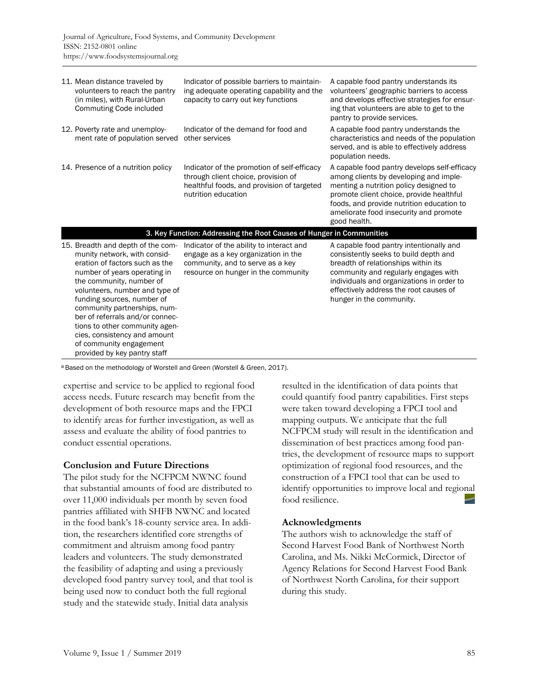| 11. Mean distance traveled by<br>volunteers to reach the pantry<br>(in miles), with Rural-Urban<br>Commuting Code included                                                                                                                                                                                                                                                                                                      | Indicator of possible barriers to maintain-<br>ing adequate operating capability and the<br>capacity to carry out key functions                            | A capable food pantry understands its<br>volunteers' geographic barriers to access<br>and develops effective strategies for ensur-<br>ing that volunteers are able to get to the<br>pantry to provide services.                                                                     |  |  |  |
|---------------------------------------------------------------------------------------------------------------------------------------------------------------------------------------------------------------------------------------------------------------------------------------------------------------------------------------------------------------------------------------------------------------------------------|------------------------------------------------------------------------------------------------------------------------------------------------------------|-------------------------------------------------------------------------------------------------------------------------------------------------------------------------------------------------------------------------------------------------------------------------------------|--|--|--|
| 12. Poverty rate and unemploy-<br>ment rate of population served                                                                                                                                                                                                                                                                                                                                                                | Indicator of the demand for food and<br>other services                                                                                                     | A capable food pantry understands the<br>characteristics and needs of the population<br>served, and is able to effectively address<br>population needs.                                                                                                                             |  |  |  |
| 14. Presence of a nutrition policy                                                                                                                                                                                                                                                                                                                                                                                              | Indicator of the promotion of self-efficacy<br>through client choice, provision of<br>healthful foods, and provision of targeted<br>nutrition education    | A capable food pantry develops self-efficacy<br>among clients by developing and imple-<br>menting a nutrition policy designed to<br>promote client choice, provide healthful<br>foods, and provide nutrition education to<br>ameliorate food insecurity and promote<br>good health. |  |  |  |
| 3. Key Function: Addressing the Root Causes of Hunger in Communities                                                                                                                                                                                                                                                                                                                                                            |                                                                                                                                                            |                                                                                                                                                                                                                                                                                     |  |  |  |
| 15. Breadth and depth of the com-<br>munity network, with consid-<br>eration of factors such as the<br>number of years operating in<br>the community, number of<br>volunteers, number and type of<br>funding sources, number of<br>community partnerships, num-<br>ber of referrals and/or connec-<br>tions to other community agen-<br>cies, consistency and amount<br>of community engagement<br>provided by key pantry staff | Indicator of the ability to interact and<br>engage as a key organization in the<br>community, and to serve as a key<br>resource on hunger in the community | A capable food pantry intentionally and<br>consistently seeks to build depth and<br>breadth of relationships within its<br>community and regularly engages with<br>individuals and organizations in order to<br>effectively address the root causes of<br>hunger in the community.  |  |  |  |

a Based on the methodology of Worstell and Green (Worstell & Green, 2017).

expertise and service to be applied to regional food access needs. Future research may benefit from the development of both resource maps and the FPCI to identify areas for further investigation, as well as assess and evaluate the ability of food pantries to conduct essential operations.

#### **Conclusion and Future Directions**

The pilot study for the NCFPCM NWNC found that substantial amounts of food are distributed to over 11,000 individuals per month by seven food pantries affiliated with SHFB NWNC and located in the food bank's 18-county service area. In addition, the researchers identified core strengths of commitment and altruism among food pantry leaders and volunteers. The study demonstrated the feasibility of adapting and using a previously developed food pantry survey tool, and that tool is being used now to conduct both the full regional study and the statewide study. Initial data analysis

resulted in the identification of data points that could quantify food pantry capabilities. First steps were taken toward developing a FPCI tool and mapping outputs. We anticipate that the full NCFPCM study will result in the identification and dissemination of best practices among food pantries, the development of resource maps to support optimization of regional food resources, and the construction of a FPCI tool that can be used to identify opportunities to improve local and regional food resilience.

#### **Acknowledgments**

The authors wish to acknowledge the staff of Second Harvest Food Bank of Northwest North Carolina, and Ms. Nikki McCormick, Director of Agency Relations for Second Harvest Food Bank of Northwest North Carolina, for their support during this study.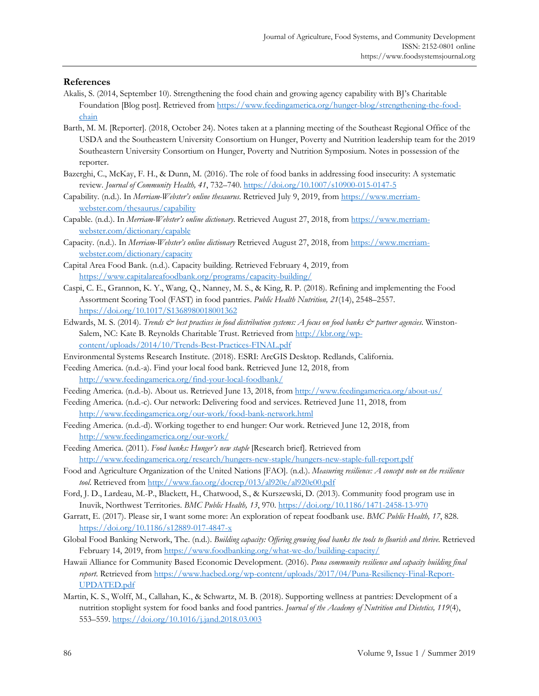#### **References**

- Akalis, S. (2014, September 10). Strengthening the food chain and growing agency capability with BJ's Charitable [Foundation \[Blog post\]. Retrieved from https://www.feedingamerica.org/hunger-blog/strengthening-the-food](https://www.feedingamerica.org/hunger-blog/strengthening-the-food-chain)chain
- Barth, M. M. [Reporter]. (2018, October 24). Notes taken at a planning meeting of the Southeast Regional Office of the USDA and the Southeastern University Consortium on Hunger, Poverty and Nutrition leadership team for the 2019 Southeastern University Consortium on Hunger, Poverty and Nutrition Symposium. Notes in possession of the reporter.
- Bazerghi, C., McKay, F. H., & Dunn, M. (2016). The role of food banks in addressing food insecurity: A systematic review. *Journal of Community Health, 41*, 732–740. https://doi.org/10.1007/s10900-015-0147-5
- Capability. (n.d.). In *Merriam-Webster's online thesaurus*. Retrieved July 9, 2019, from https://www.merriamwebster.com/thesaurus/capability
- Capable. (n.d.). In *Merriam-Webster's online dictionary*. Retrieved August 27, 2018, from https://www.merriamwebster.com/dictionary/capable
- Capacity. (n.d.). In *Merriam-Webster's online dictionary* Retrieved August 27, 2018, from https://www.merriamwebster.com/dictionary/capacity
- Capital Area Food Bank. (n.d.). Capacity building. Retrieved February 4, 2019, from https://www.capitalareafoodbank.org/programs/capacity-building/
- Caspi, C. E., Grannon, K. Y., Wang, Q., Nanney, M. S., & King, R. P. (2018). Refining and implementing the Food Assortment Scoring Tool (FAST) in food pantries. *Public Health Nutrition, 21*(14), 2548–2557. https://doi.org/10.1017/S1368980018001362
- Edwards, M. S. (2014). *Trends & best practices in food distribution systems: A focus on food banks & partner agencies*. Winston-Salem, NC: Kate B. Reynolds Charitable Trust. Retrieved from http://kbr.org/wpcontent/uploads/2014/10/Trends-Best-Practices-FINAL.pdf
- Environmental Systems Research Institute. (2018). ESRI: ArcGIS Desktop. Redlands, California.
- Feeding America. (n.d.-a). Find your local food bank. Retrieved June 12, 2018, from http://www.feedingamerica.org/find-your-local-foodbank/
- Feeding America. (n.d.-b). About us. Retrieved June 13, 2018, from http://www.feedingamerica.org/about-us/
- Feeding America. (n.d.-c). Our network: Delivering food and services. Retrieved June 11, 2018, from http://www.feedingamerica.org/our-work/food-bank-network.html
- Feeding America. (n.d.-d). Working together to end hunger: Our work. Retrieved June 12, 2018, from http://www.feedingamerica.org/our-work/
- Feeding America. (2011). *Food banks: Hunger's new staple* [Research brief]. Retrieved from http://www.feedingamerica.org/research/hungers-new-staple/hungers-new-staple-full-report.pdf
- Food and Agriculture Organization of the United Nations [FAO]. (n.d.). *Measuring resilience: A concept note on the resilience tool*. Retrieved from http://www.fao.org/docrep/013/al920e/al920e00.pdf
- Ford, J. D., Lardeau, M.-P., Blackett, H., Chatwood, S., & Kurszewski, D. (2013). Community food program use in Inuvik, Northwest Territories. *BMC Public Health, 13*, 970. https://doi.org/10.1186/1471-2458-13-970
- Garratt, E. (2017). Please sir, I want some more: An exploration of repeat foodbank use. *BMC Public Health, 17*, 828. https://doi.org/10.1186/s12889-017-4847-x
- Global Food Banking Network, The. (n.d.). *Building capacity: Offering growing food banks the tools to flourish and thrive.* Retrieved February 14, 2019, from https://www.foodbanking.org/what-we-do/building-capacity/
- Hawaii Alliance for Community Based Economic Development. (2016). *Puna community resilience and capacity building final report*. Retrieved from https://www.hacbed.org/wp-content/uploads/2017/04/Puna-Resiliency-Final-Report-UPDATED.pdf
- Martin, K. S., Wolff, M., Callahan, K., & Schwartz, M. B. (2018). Supporting wellness at pantries: Development of a nutrition stoplight system for food banks and food pantries. *Journal of the Academy of Nutrition and Dietetics, 119*(4), 553–559. https://doi.org/10.1016/j.jand.2018.03.003